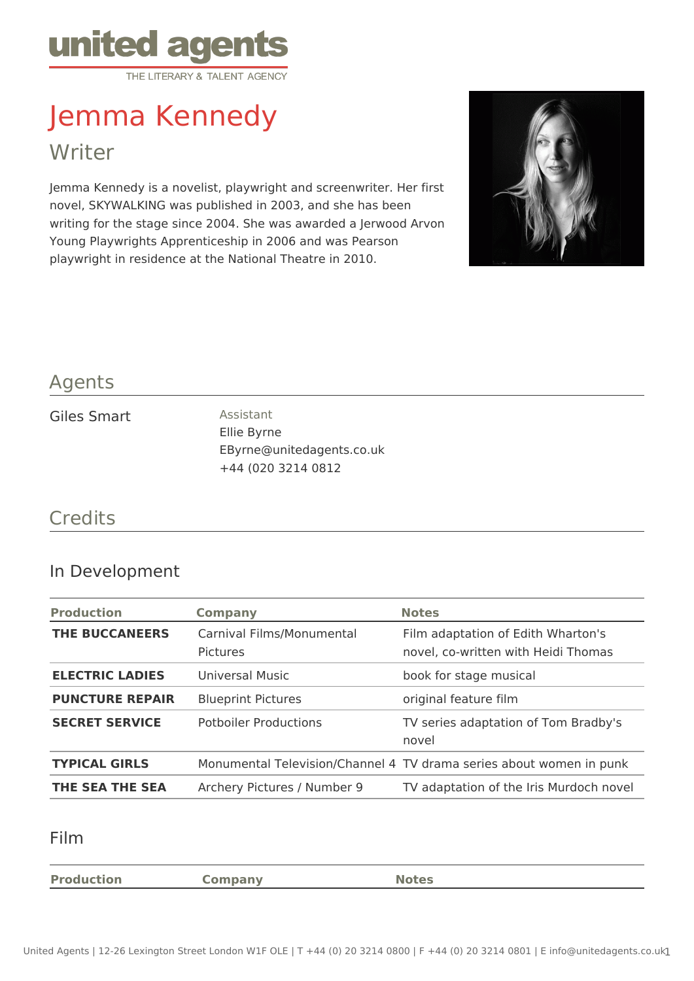

# Jemma Kennedy

Writer

Jemma Kennedy is a novelist, playwright and screenwriter. Her first novel, SKYWALKING was published in 2003, and she has been writing for the stage since 2004. She was awarded a Jerwood Arvon Young Playwrights Apprenticeship in 2006 and was Pearson playwright in residence at the National Theatre in 2010.



## Agents

#### Giles Smart Assistant

Ellie Byrne EByrne@unitedagents.co.uk +44 (020 3214 0812

## **Credits**

#### In Development

| <b>Production</b>      | <b>Company</b>                               | <b>Notes</b>                                                              |  |
|------------------------|----------------------------------------------|---------------------------------------------------------------------------|--|
| <b>THE BUCCANEERS</b>  | Carnival Films/Monumental<br><b>Pictures</b> | Film adaptation of Edith Wharton's<br>novel, co-written with Heidi Thomas |  |
| <b>ELECTRIC LADIES</b> | Universal Music                              | book for stage musical                                                    |  |
| <b>PUNCTURE REPAIR</b> | <b>Blueprint Pictures</b>                    | original feature film                                                     |  |
| <b>SECRET SERVICE</b>  | <b>Potboiler Productions</b>                 | TV series adaptation of Tom Bradby's<br>novel                             |  |
| <b>TYPICAL GIRLS</b>   |                                              | Monumental Television/Channel 4 TV drama series about women in punk       |  |
| THE SEA THE SEA        | Archery Pictures / Number 9                  | TV adaptation of the Iris Murdoch novel                                   |  |

#### Film

**Production Company Notes**